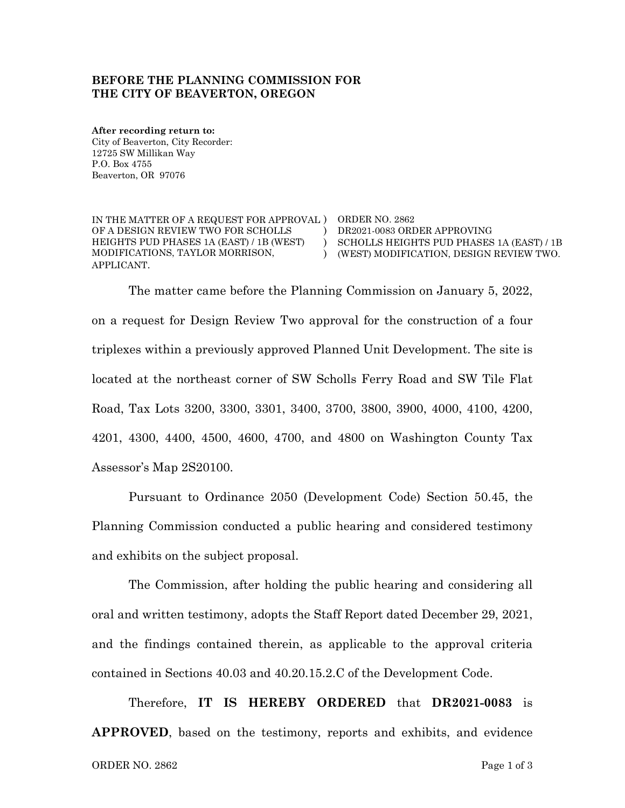## **BEFORE THE PLANNING COMMISSION FOR THE CITY OF BEAVERTON, OREGON**

**After recording return to:** City of Beaverton, City Recorder: 12725 SW Millikan Way P.O. Box 4755 Beaverton, OR 97076

IN THE MATTER OF A REQUEST FOR APPROVAL ) ORDER NO. 2862 OF A DESIGN REVIEW TWO FOR SCHOLLS HEIGHTS PUD PHASES 1A (EAST) / 1B (WEST) MODIFICATIONS, TAYLOR MORRISON, APPLICANT.

) DR2021-0083 ORDER APPROVING ) SCHOLLS HEIGHTS PUD PHASES 1A (EAST) / 1B ) (WEST) MODIFICATION, DESIGN REVIEW TWO.

The matter came before the Planning Commission on January 5, 2022, on a request for Design Review Two approval for the construction of a four triplexes within a previously approved Planned Unit Development. The site is located at the northeast corner of SW Scholls Ferry Road and SW Tile Flat Road, Tax Lots 3200, 3300, 3301, 3400, 3700, 3800, 3900, 4000, 4100, 4200, 4201, 4300, 4400, 4500, 4600, 4700, and 4800 on Washington County Tax Assessor's Map 2S20100.

Pursuant to Ordinance 2050 (Development Code) Section 50.45, the Planning Commission conducted a public hearing and considered testimony and exhibits on the subject proposal.

The Commission, after holding the public hearing and considering all oral and written testimony, adopts the Staff Report dated December 29, 2021, and the findings contained therein, as applicable to the approval criteria contained in Sections 40.03 and 40.20.15.2.C of the Development Code.

Therefore, **IT IS HEREBY ORDERED** that **DR2021-0083** is **APPROVED**, based on the testimony, reports and exhibits, and evidence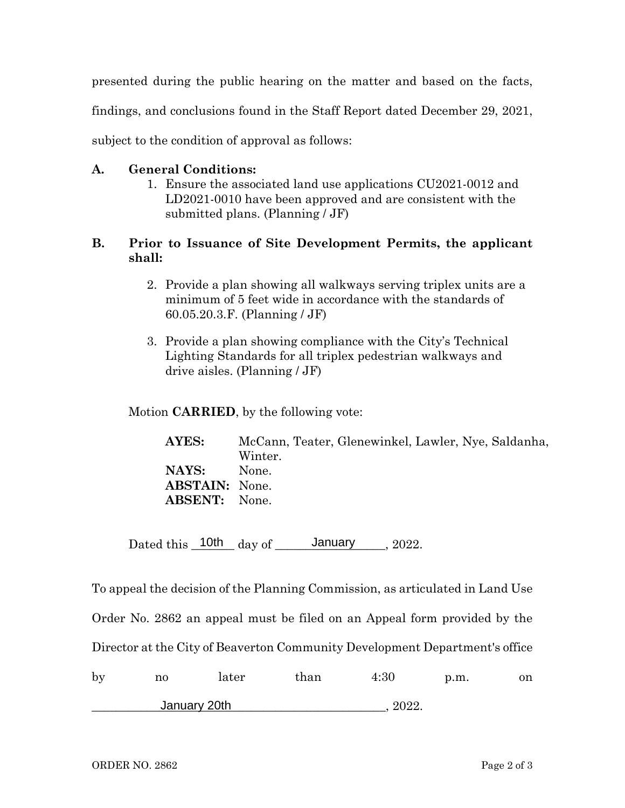presented during the public hearing on the matter and based on the facts,

findings, and conclusions found in the Staff Report dated December 29, 2021,

subject to the condition of approval as follows:

## **A. General Conditions:**

1. Ensure the associated land use applications CU2021-0012 and LD2021-0010 have been approved and are consistent with the submitted plans. (Planning / JF)

## **B. Prior to Issuance of Site Development Permits, the applicant shall:**

- 2. Provide a plan showing all walkways serving triplex units are a minimum of 5 feet wide in accordance with the standards of 60.05.20.3.F. (Planning / JF)
- 3. Provide a plan showing compliance with the City's Technical Lighting Standards for all triplex pedestrian walkways and drive aisles. (Planning / JF)

Motion **CARRIED**, by the following vote:

| AYES:                 | McCann, Teater, Glenewinkel, Lawler, Nye, Saldanha, |
|-----------------------|-----------------------------------------------------|
|                       | Winter.                                             |
| NAYS:                 | None.                                               |
| <b>ABSTAIN:</b> None. |                                                     |
| <b>ABSENT:</b> None.  |                                                     |
|                       |                                                     |

Dated this  $\frac{10th}{\text{day of}}$  January 2022.

To appeal the decision of the Planning Commission, as articulated in Land Use Order No. 2862 an appeal must be filed on an Appeal form provided by the Director at the City of Beaverton Community Development Department's office by no later than 4:30 p.m. on \_\_\_\_\_\_\_\_\_\_\_\_\_\_\_\_\_\_\_\_\_\_\_\_\_\_\_\_\_\_\_\_\_\_\_\_\_\_\_\_\_\_\_\_\_\_\_\_, 2022. January 20th